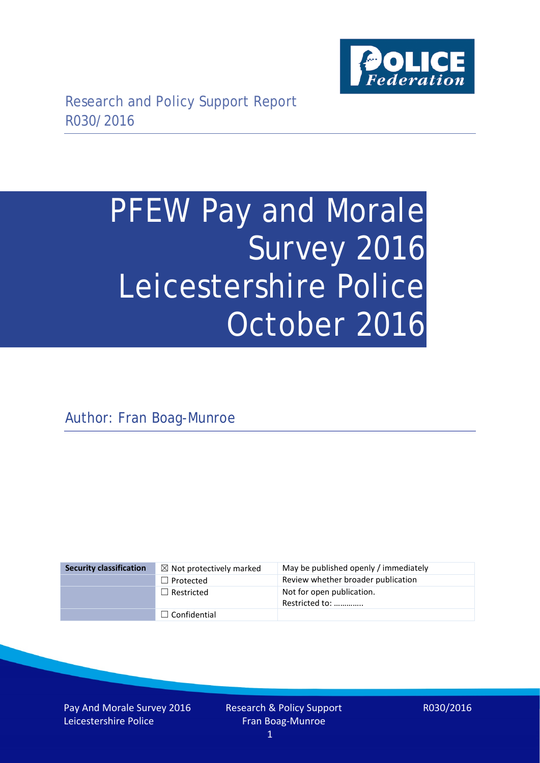

# PFEW Pay and Morale Survey 2016 Leicestershire Police October 2016

Author: Fran Boag-Munroe

| <b>Security classification</b> | $\boxtimes$ Not protectively marked | May be published openly / immediately       |
|--------------------------------|-------------------------------------|---------------------------------------------|
|                                | $\Box$ Protected                    | Review whether broader publication          |
|                                | $\Box$ Restricted                   | Not for open publication.<br>Restricted to: |
|                                | $\Box$ Confidential                 |                                             |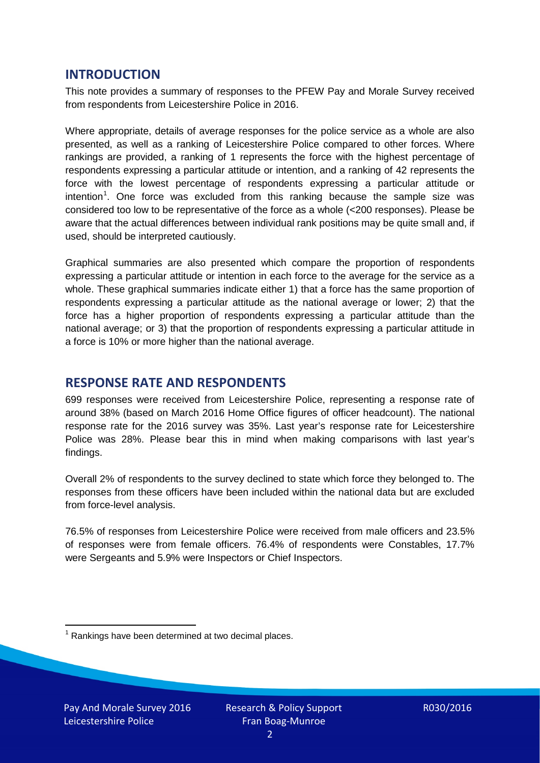### **INTRODUCTION**

This note provides a summary of responses to the PFEW Pay and Morale Survey received from respondents from Leicestershire Police in 2016.

Where appropriate, details of average responses for the police service as a whole are also presented, as well as a ranking of Leicestershire Police compared to other forces. Where rankings are provided, a ranking of 1 represents the force with the highest percentage of respondents expressing a particular attitude or intention, and a ranking of 42 represents the force with the lowest percentage of respondents expressing a particular attitude or intention<sup>[1](#page-1-0)</sup>. One force was excluded from this ranking because the sample size was considered too low to be representative of the force as a whole (<200 responses). Please be aware that the actual differences between individual rank positions may be quite small and, if used, should be interpreted cautiously.

Graphical summaries are also presented which compare the proportion of respondents expressing a particular attitude or intention in each force to the average for the service as a whole. These graphical summaries indicate either 1) that a force has the same proportion of respondents expressing a particular attitude as the national average or lower; 2) that the force has a higher proportion of respondents expressing a particular attitude than the national average; or 3) that the proportion of respondents expressing a particular attitude in a force is 10% or more higher than the national average.

# **RESPONSE RATE AND RESPONDENTS**

699 responses were received from Leicestershire Police, representing a response rate of around 38% (based on March 2016 Home Office figures of officer headcount). The national response rate for the 2016 survey was 35%. Last year's response rate for Leicestershire Police was 28%. Please bear this in mind when making comparisons with last year's findings.

Overall 2% of respondents to the survey declined to state which force they belonged to. The responses from these officers have been included within the national data but are excluded from force-level analysis.

76.5% of responses from Leicestershire Police were received from male officers and 23.5% of responses were from female officers. 76.4% of respondents were Constables, 17.7% were Sergeants and 5.9% were Inspectors or Chief Inspectors.

<span id="page-1-0"></span> $1$  Rankings have been determined at two decimal places.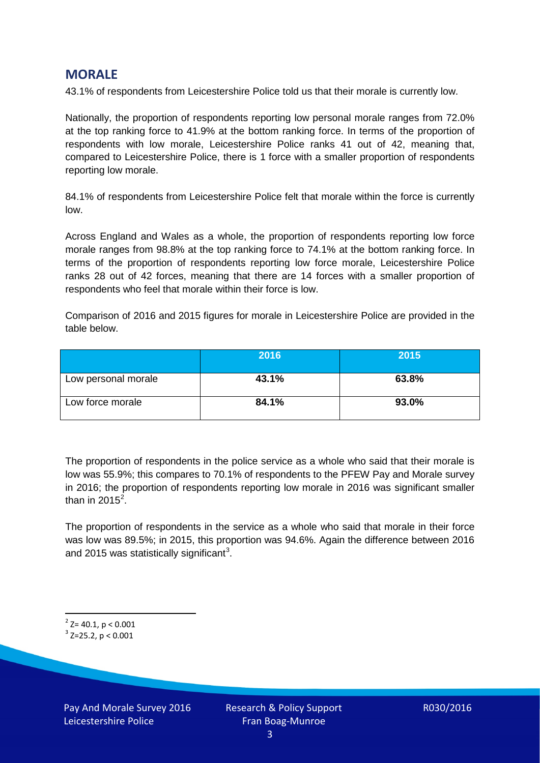## **MORALE**

43.1% of respondents from Leicestershire Police told us that their morale is currently low.

Nationally, the proportion of respondents reporting low personal morale ranges from 72.0% at the top ranking force to 41.9% at the bottom ranking force. In terms of the proportion of respondents with low morale, Leicestershire Police ranks 41 out of 42, meaning that, compared to Leicestershire Police, there is 1 force with a smaller proportion of respondents reporting low morale.

84.1% of respondents from Leicestershire Police felt that morale within the force is currently low.

Across England and Wales as a whole, the proportion of respondents reporting low force morale ranges from 98.8% at the top ranking force to 74.1% at the bottom ranking force. In terms of the proportion of respondents reporting low force morale, Leicestershire Police ranks 28 out of 42 forces, meaning that there are 14 forces with a smaller proportion of respondents who feel that morale within their force is low.

Comparison of 2016 and 2015 figures for morale in Leicestershire Police are provided in the table below.

|                     | 2016  | 2015  |
|---------------------|-------|-------|
| Low personal morale | 43.1% | 63.8% |
| Low force morale    | 84.1% | 93.0% |

The proportion of respondents in the police service as a whole who said that their morale is low was 55.9%; this compares to 70.1% of respondents to the PFEW Pay and Morale survey in 2016; the proportion of respondents reporting low morale in 2016 was significant smaller than in [2](#page-2-0)015 $^2$ .

The proportion of respondents in the service as a whole who said that morale in their force was low was 89.5%; in 2015, this proportion was 94.6%. Again the difference between 2016 and 2015 was statistically significant<sup>[3](#page-2-1)</sup>.

<span id="page-2-0"></span> $2$ <sup>2</sup> Z= 40.1, p < 0.001

<span id="page-2-1"></span> $3$  Z=25.2, p < 0.001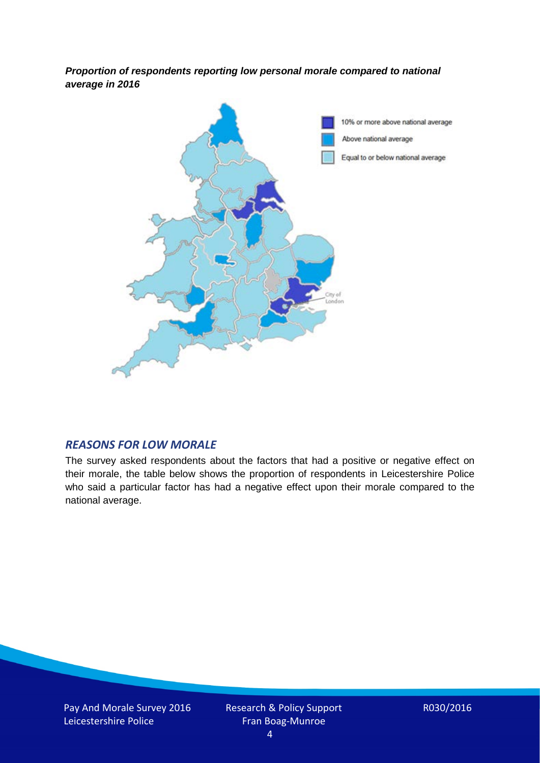*Proportion of respondents reporting low personal morale compared to national average in 2016*



#### *REASONS FOR LOW MORALE*

The survey asked respondents about the factors that had a positive or negative effect on their morale, the table below shows the proportion of respondents in Leicestershire Police who said a particular factor has had a negative effect upon their morale compared to the national average.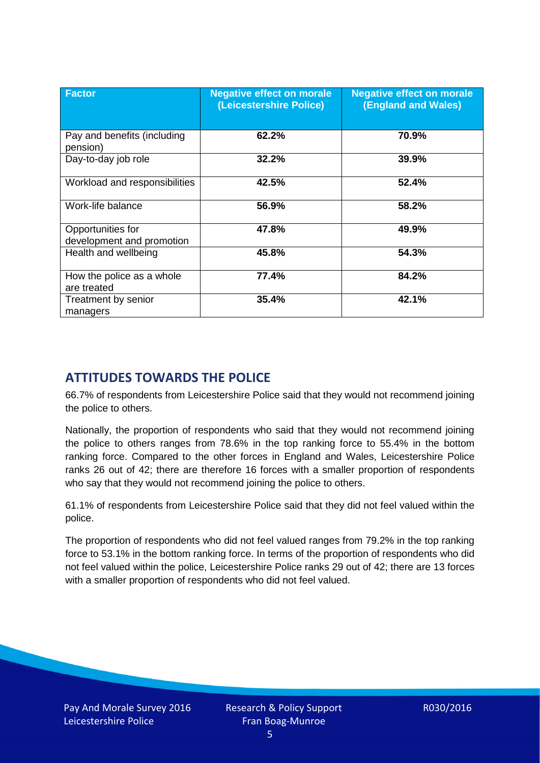| <b>Factor</b>                                  | <b>Negative effect on morale</b><br>(Leicestershire Police) | <b>Negative effect on morale</b><br><b>(England and Wales)</b> |
|------------------------------------------------|-------------------------------------------------------------|----------------------------------------------------------------|
| Pay and benefits (including<br>pension)        | 62.2%                                                       | 70.9%                                                          |
| Day-to-day job role                            | 32.2%                                                       | 39.9%                                                          |
| Workload and responsibilities                  | 42.5%                                                       | 52.4%                                                          |
| Work-life balance                              | 56.9%                                                       | 58.2%                                                          |
| Opportunities for<br>development and promotion | 47.8%                                                       | 49.9%                                                          |
| Health and wellbeing                           | 45.8%                                                       | 54.3%                                                          |
| How the police as a whole<br>are treated       | 77.4%                                                       | 84.2%                                                          |
| Treatment by senior<br>managers                | 35.4%                                                       | 42.1%                                                          |

# **ATTITUDES TOWARDS THE POLICE**

66.7% of respondents from Leicestershire Police said that they would not recommend joining the police to others.

Nationally, the proportion of respondents who said that they would not recommend joining the police to others ranges from 78.6% in the top ranking force to 55.4% in the bottom ranking force. Compared to the other forces in England and Wales, Leicestershire Police ranks 26 out of 42; there are therefore 16 forces with a smaller proportion of respondents who say that they would not recommend joining the police to others.

61.1% of respondents from Leicestershire Police said that they did not feel valued within the police.

The proportion of respondents who did not feel valued ranges from 79.2% in the top ranking force to 53.1% in the bottom ranking force. In terms of the proportion of respondents who did not feel valued within the police, Leicestershire Police ranks 29 out of 42; there are 13 forces with a smaller proportion of respondents who did not feel valued.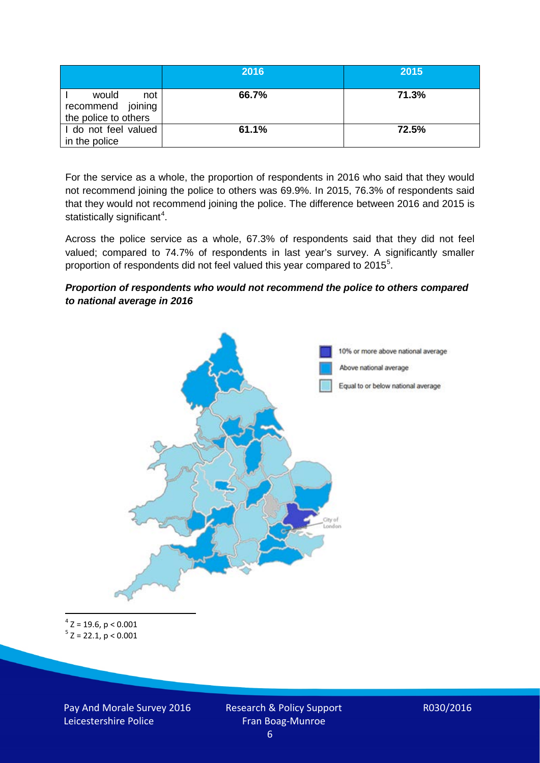|                                                           | 2016  | 2015  |
|-----------------------------------------------------------|-------|-------|
| would<br>not<br>recommend joining<br>the police to others | 66.7% | 71.3% |
| I do not feel valued<br>in the police                     | 61.1% | 72.5% |

For the service as a whole, the proportion of respondents in 2016 who said that they would not recommend joining the police to others was 69.9%. In 2015, 76.3% of respondents said that they would not recommend joining the police. The difference between 2016 and 2015 is statistically significant<sup>[4](#page-5-0)</sup>.

Across the police service as a whole, 67.3% of respondents said that they did not feel valued; compared to 74.7% of respondents in last year's survey. A significantly smaller proportion of respondents did not feel valued this year compared to 201[5](#page-5-1)<sup>5</sup>.

#### *Proportion of respondents who would not recommend the police to others compared to national average in 2016*



<span id="page-5-1"></span><span id="page-5-0"></span> $4$  Z = 19.6, p < 0.001  $5$  Z = 22.1, p < 0.001

Pay And Morale Survey 2016 Leicestershire Police

Research & Policy Support Fran Boag-Munroe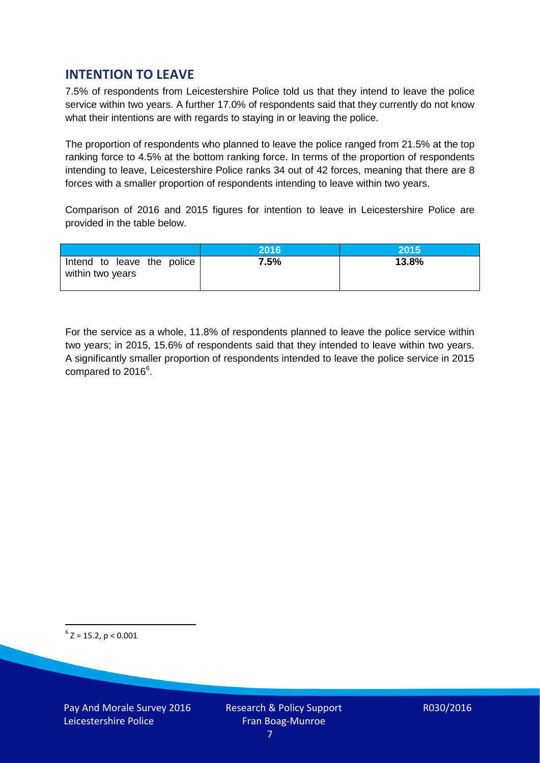# **INTENTION TO LEAVE**

7.5% of respondents from Leicestershire Police told us that they intend to leave the police service within two years. A further 17.0% of respondents said that they currently do not know what their intentions are with regards to staying in or leaving the police.

The proportion of respondents who planned to leave the police ranged from 21.5% at the top ranking force to 4.5% at the bottom ranking force. In terms of the proportion of respondents intending to leave, Leicestershire Police ranks 34 out of 42 forces, meaning that there are 8 forces with a smaller proportion of respondents intending to leave within two years.

Comparison of 2016 and 2015 figures for intention to leave in Leicestershire Police are provided in the table below.

|                                                | 2016 | 2015  |
|------------------------------------------------|------|-------|
| Intend to leave the police<br>within two years | 7.5% | 13.8% |

For the service as a whole, 11.8% of respondents planned to leave the police service within two years; in 2015, 15.6% of respondents said that they intended to leave within two years. A significantly smaller proportion of respondents intended to leave the police service in 2015 compared to 201[6](#page-6-0)<sup>6</sup>.

<span id="page-6-0"></span> $6$  Z = 15.2, p < 0.001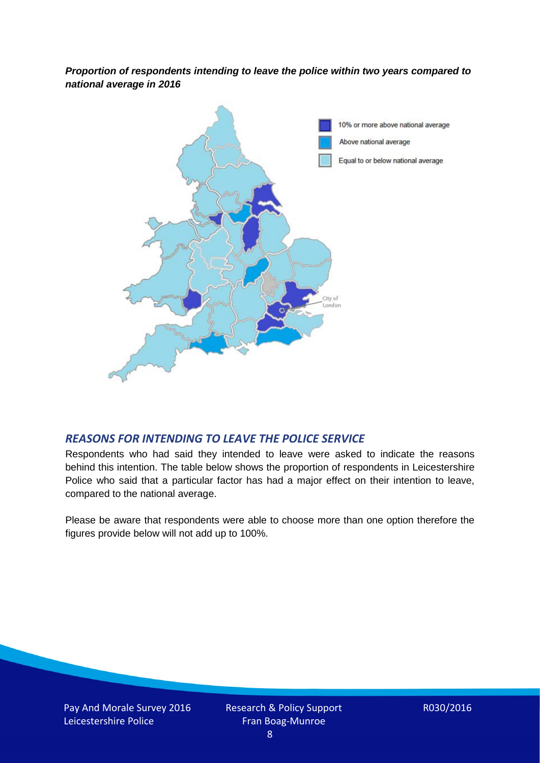*Proportion of respondents intending to leave the police within two years compared to national average in 2016*



#### *REASONS FOR INTENDING TO LEAVE THE POLICE SERVICE*

Respondents who had said they intended to leave were asked to indicate the reasons behind this intention. The table below shows the proportion of respondents in Leicestershire Police who said that a particular factor has had a major effect on their intention to leave, compared to the national average.

Please be aware that respondents were able to choose more than one option therefore the figures provide below will not add up to 100%.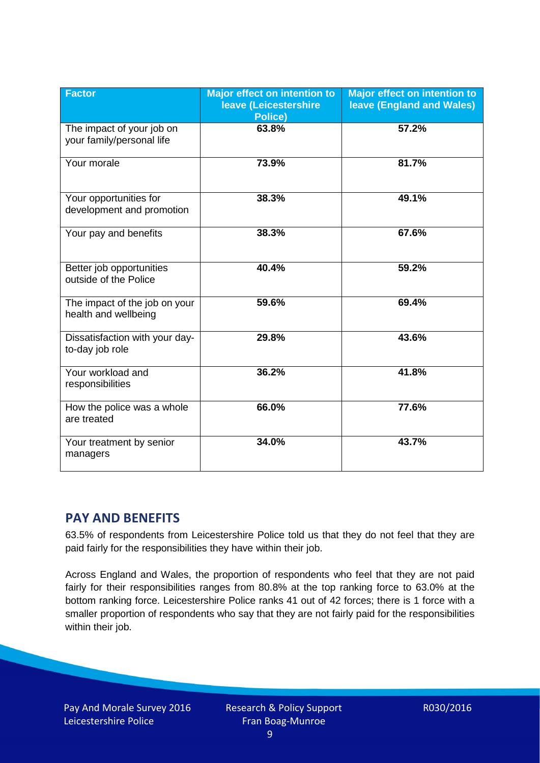| <b>Factor</b>                                          | <b>Major effect on intention to</b><br>leave (Leicestershire<br>Police) | <b>Major effect on intention to</b><br><b>leave (England and Wales)</b> |
|--------------------------------------------------------|-------------------------------------------------------------------------|-------------------------------------------------------------------------|
| The impact of your job on<br>your family/personal life | 63.8%                                                                   | 57.2%                                                                   |
| Your morale                                            | 73.9%                                                                   | 81.7%                                                                   |
| Your opportunities for<br>development and promotion    | 38.3%                                                                   | 49.1%                                                                   |
| Your pay and benefits                                  | 38.3%                                                                   | 67.6%                                                                   |
| Better job opportunities<br>outside of the Police      | 40.4%                                                                   | 59.2%                                                                   |
| The impact of the job on your<br>health and wellbeing  | 59.6%                                                                   | 69.4%                                                                   |
| Dissatisfaction with your day-<br>to-day job role      | 29.8%                                                                   | 43.6%                                                                   |
| Your workload and<br>responsibilities                  | 36.2%                                                                   | 41.8%                                                                   |
| How the police was a whole<br>are treated              | 66.0%                                                                   | 77.6%                                                                   |
| Your treatment by senior<br>managers                   | 34.0%                                                                   | 43.7%                                                                   |

# **PAY AND BENEFITS**

63.5% of respondents from Leicestershire Police told us that they do not feel that they are paid fairly for the responsibilities they have within their job.

Across England and Wales, the proportion of respondents who feel that they are not paid fairly for their responsibilities ranges from 80.8% at the top ranking force to 63.0% at the bottom ranking force. Leicestershire Police ranks 41 out of 42 forces; there is 1 force with a smaller proportion of respondents who say that they are not fairly paid for the responsibilities within their job.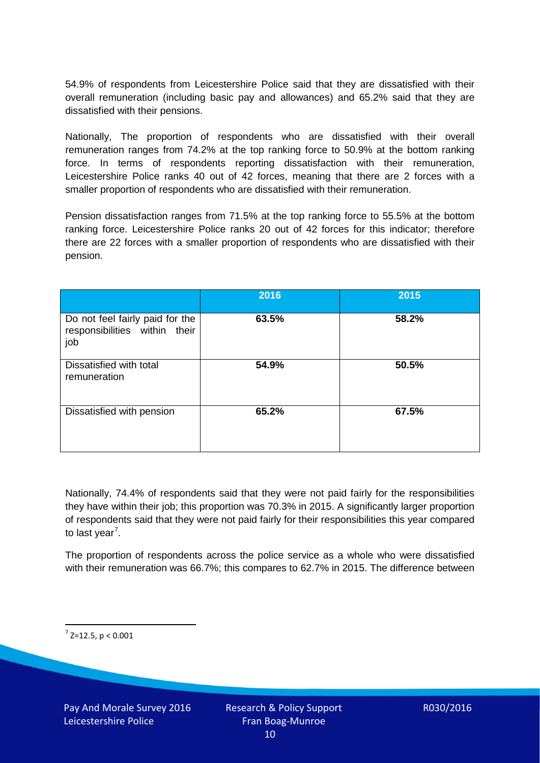54.9% of respondents from Leicestershire Police said that they are dissatisfied with their overall remuneration (including basic pay and allowances) and 65.2% said that they are dissatisfied with their pensions.

Nationally, The proportion of respondents who are dissatisfied with their overall remuneration ranges from 74.2% at the top ranking force to 50.9% at the bottom ranking force. In terms of respondents reporting dissatisfaction with their remuneration, Leicestershire Police ranks 40 out of 42 forces, meaning that there are 2 forces with a smaller proportion of respondents who are dissatisfied with their remuneration.

Pension dissatisfaction ranges from 71.5% at the top ranking force to 55.5% at the bottom ranking force. Leicestershire Police ranks 20 out of 42 forces for this indicator; therefore there are 22 forces with a smaller proportion of respondents who are dissatisfied with their pension.

|                                                                         | 2016  | 2015  |
|-------------------------------------------------------------------------|-------|-------|
| Do not feel fairly paid for the<br>responsibilities within their<br>job | 63.5% | 58.2% |
| Dissatisfied with total<br>remuneration                                 | 54.9% | 50.5% |
| Dissatisfied with pension                                               | 65.2% | 67.5% |

Nationally, 74.4% of respondents said that they were not paid fairly for the responsibilities they have within their job; this proportion was 70.3% in 2015. A significantly larger proportion of respondents said that they were not paid fairly for their responsibilities this year compared to last year<sup>[7](#page-9-0)</sup>.

The proportion of respondents across the police service as a whole who were dissatisfied with their remuneration was 66.7%; this compares to 62.7% in 2015. The difference between

<span id="page-9-0"></span> $7$  Z=12.5, p < 0.001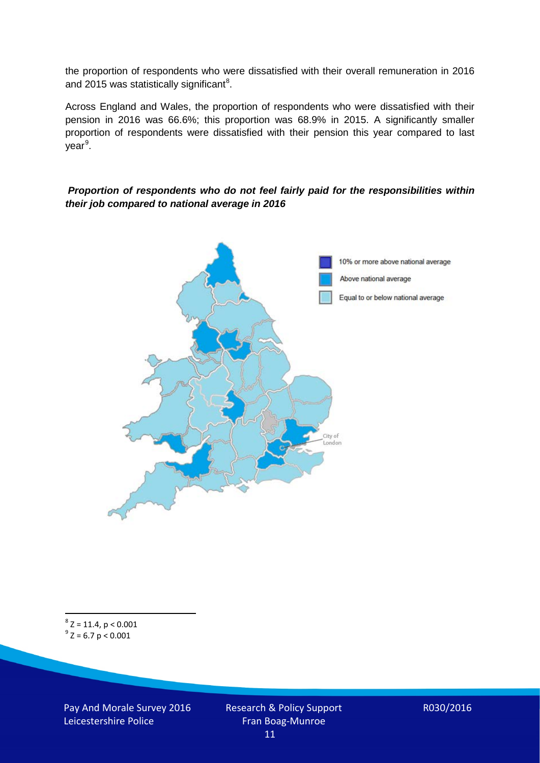the proportion of respondents who were dissatisfied with their overall remuneration in 2016 and 2015 was statistically significant<sup>[8](#page-10-0)</sup>.

Across England and Wales, the proportion of respondents who were dissatisfied with their pension in 2016 was 66.6%; this proportion was 68.9% in 2015. A significantly smaller proportion of respondents were dissatisfied with their pension this year compared to last year<sup>[9](#page-10-1)</sup>.

#### *Proportion of respondents who do not feel fairly paid for the responsibilities within their job compared to national average in 2016*



<span id="page-10-1"></span><span id="page-10-0"></span> $8$  Z = 11.4, p < 0.001  $9^{\circ}$  Z = 6.7 p < 0.001

Pay And Morale Survey 2016 Leicestershire Police

Research & Policy Support Fran Boag-Munroe 11

R030/2016